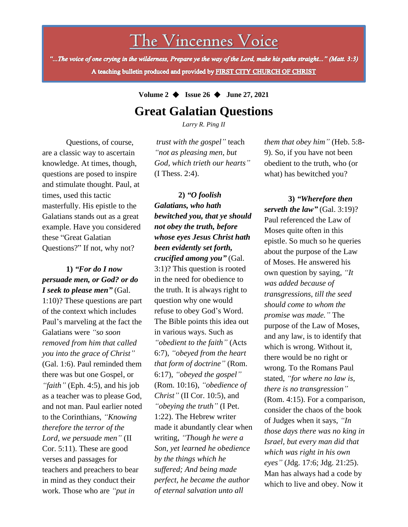# The Vincennes Voice

"...The voice of one crying in the wilderness, Prepare ye the way of the Lord, make his paths straight..." (Matt. 3:3) A teaching bulletin produced and provided by FIRST CITY CHURCH OF CHRIST

#### **Volume 2** ◆ **Issue 26** ◆ **June 27, 2021**

## **Great Galatian Questions**

*Larry R. Ping II*

Questions, of course, are a classic way to ascertain knowledge. At times, though, questions are posed to inspire and stimulate thought. Paul, at times, used this tactic masterfully. His epistle to the Galatians stands out as a great example. Have you considered these "Great Galatian Questions?" If not, why not?

#### **1)** *"For do I now persuade men, or God? or do I seek to please men"* (Gal.

verses and passages for 1:10)? These questions are part of the context which includes Paul's marveling at the fact the Galatians were *"so soon removed from him that called you into the grace of Christ"* (Gal. 1:6). Paul reminded them there was but one Gospel, or *"faith"* (Eph. 4:5), and his job as a teacher was to please God, and not man. Paul earlier noted to the Corinthians, *"Knowing therefore the terror of the Lord, we persuade men"* (II Cor. 5:11). These are good teachers and preachers to bear in mind as they conduct their work. Those who are *"put in*

*trust with the gospel"* teach *"not as pleasing men, but God, which trieth our hearts"* (I Thess. 2:4).

**2)** *"O foolish Galatians, who hath bewitched you, that ye should not obey the truth, before whose eyes Jesus Christ hath been evidently set forth, crucified among you"* (Gal. 3:1)? This question is rooted in the need for obedience to the truth. It is always right to question why one would refuse to obey God's Word. The Bible points this idea out in various ways. Such as *"obedient to the faith"* (Acts 6:7), *"obeyed from the heart that form of doctrine"* (Rom. 6:17), *"obeyed the gospel"* (Rom. 10:16), *"obedience of Christ"* (II Cor. 10:5), and *"obeying the truth"* (I Pet. 1:22). The Hebrew writer made it abundantly clear when writing, *"Though he were a Son, yet learned he obedience by the things which he suffered; And being made perfect, he became the author of eternal salvation unto all*

*them that obey him"* (Heb. 5:8- 9). So, if you have not been obedient to the truth, who (or what) has bewitched you?

**3)** *"Wherefore then serveth the law"* (Gal. 3:19)? Paul referenced the Law of Moses quite often in this epistle. So much so he queries about the purpose of the Law of Moses. He answered his own question by saying, *"It was added because of transgressions, till the seed should come to whom the promise was made."* The purpose of the Law of Moses, and any law, is to identify that which is wrong. Without it, there would be no right or wrong. To the Romans Paul stated, *"for where no law is, there is no transgression"* (Rom. 4:15). For a comparison, consider the chaos of the book of Judges when it says, *"In those days there was no king in Israel, but every man did that which was right in his own eyes"* (Jdg. 17:6; Jdg. 21:25). Man has always had a code by which to live and obey. Now it